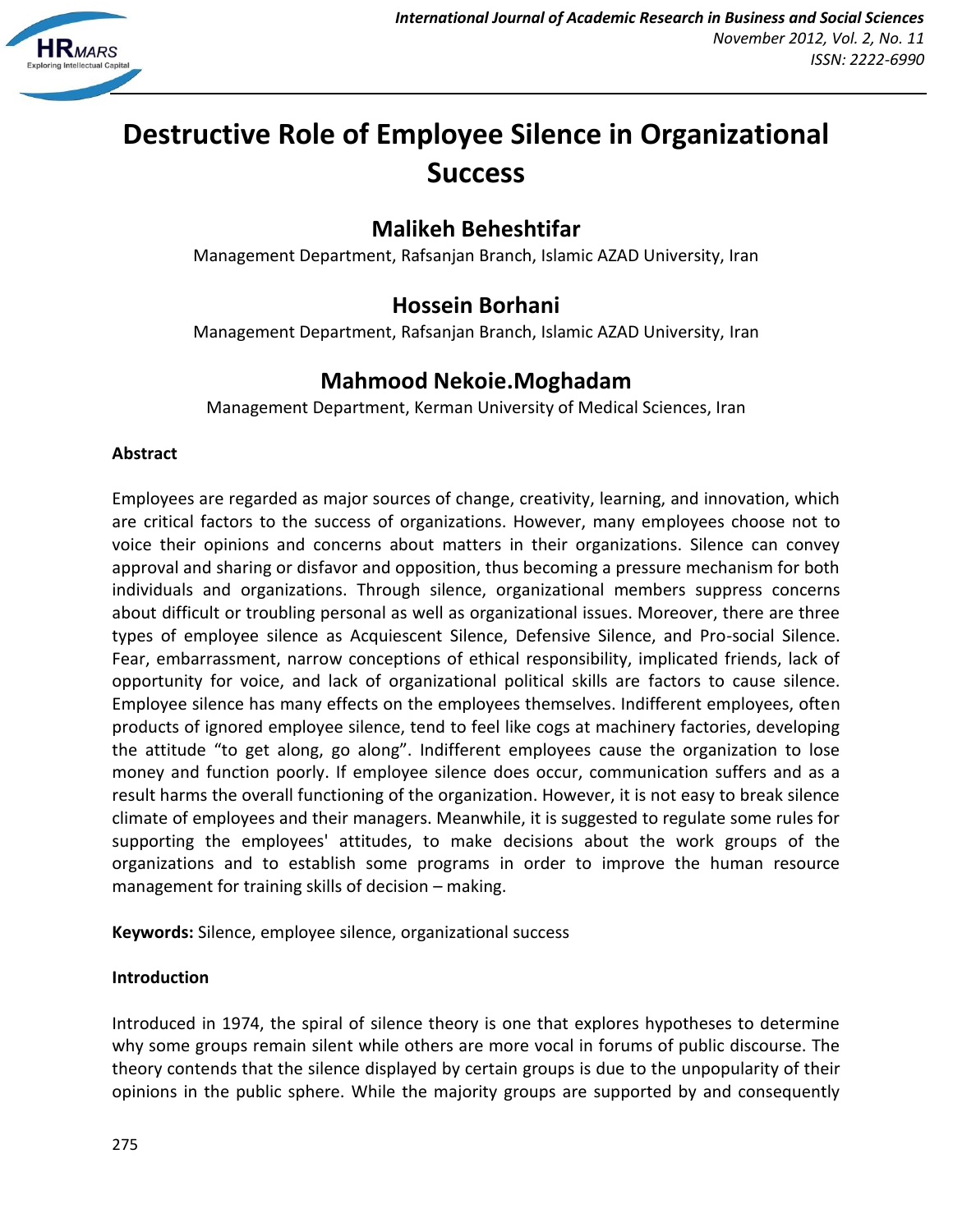

# **Destructive Role of Employee Silence in Organizational Success**

# **Malikeh Beheshtifar**

Management Department, Rafsanjan Branch, Islamic AZAD University, Iran

# **Hossein Borhani**

Management Department, Rafsanjan Branch, Islamic AZAD University, Iran

# **Mahmood Nekoie.Moghadam**

Management Department, Kerman University of Medical Sciences, Iran

#### **Abstract**

Employees are regarded as major sources of change, creativity, learning, and innovation, which are critical factors to the success of organizations. However, many employees choose not to voice their opinions and concerns about matters in their organizations. Silence can convey approval and sharing or disfavor and opposition, thus becoming a pressure mechanism for both individuals and organizations. Through silence, organizational members suppress concerns about difficult or troubling personal as well as organizational issues. Moreover, there are three types of employee silence as Acquiescent Silence, Defensive Silence, and Pro-social Silence. Fear, embarrassment, narrow conceptions of ethical responsibility, implicated friends, lack of opportunity for voice, and lack of organizational political skills are factors to cause silence. Employee silence has many effects on the employees themselves. Indifferent employees, often products of ignored employee silence, tend to feel like cogs at machinery factories, developing the attitude "to get along, go along". Indifferent employees cause the organization to lose money and function poorly. If employee silence does occur, communication suffers and as a result harms the overall functioning of the organization. However, it is not easy to break silence climate of employees and their managers. Meanwhile, it is suggested to regulate some rules for supporting the employees' attitudes, to make decisions about the work groups of the organizations and to establish some programs in order to improve the human resource management for training skills of decision – making.

**Keywords:** Silence, employee silence, organizational success

### **Introduction**

Introduced in 1974, the spiral of silence theory is one that explores hypotheses to determine why some groups remain silent while others are more vocal in forums of public discourse. The theory contends that the silence displayed by certain groups is due to the unpopularity of their opinions in the public sphere. While the majority groups are supported by and consequently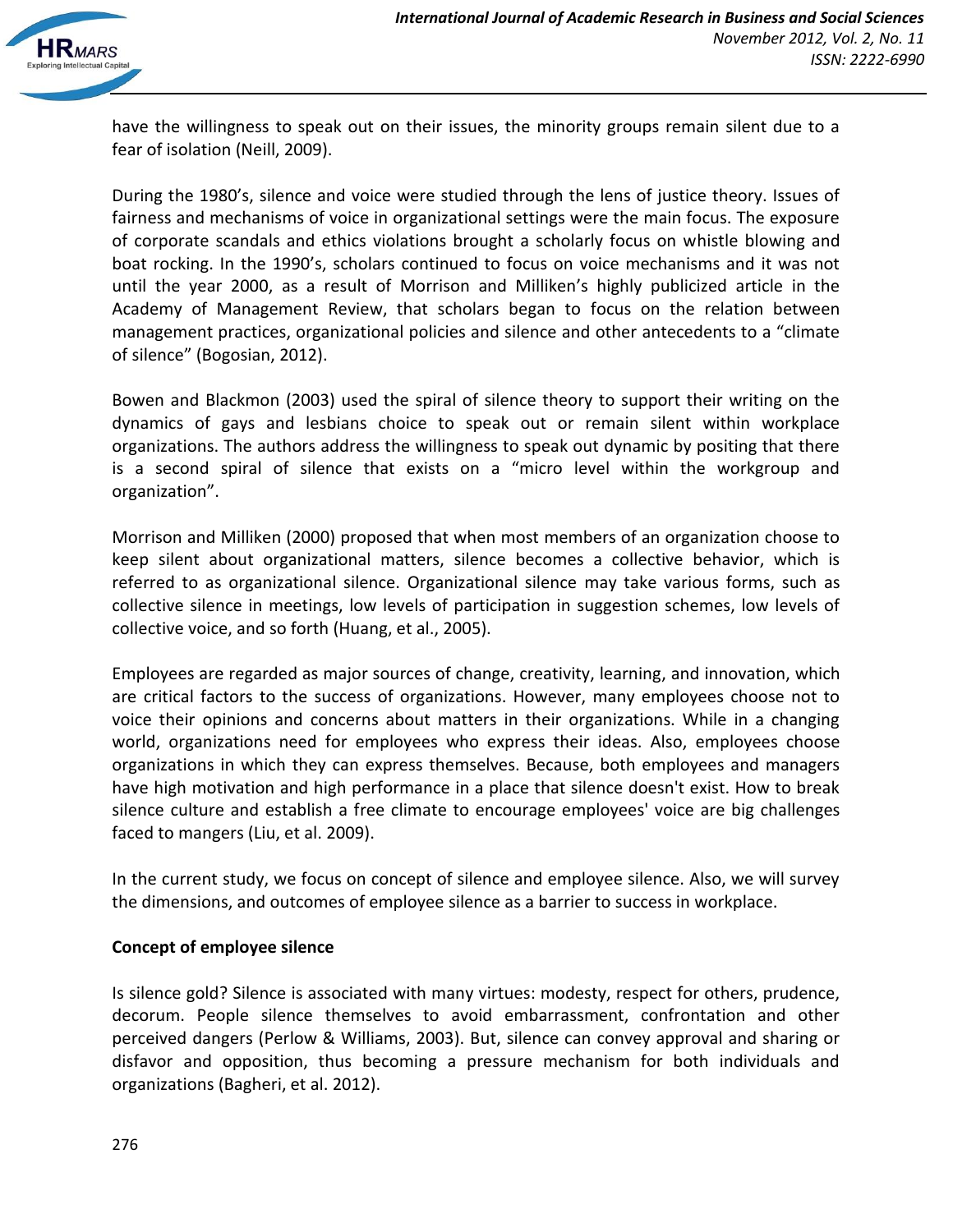

have the willingness to speak out on their issues, the minority groups remain silent due to a fear of isolation (Neill, 2009).

During the 1980's, silence and voice were studied through the lens of justice theory. Issues of fairness and mechanisms of voice in organizational settings were the main focus. The exposure of corporate scandals and ethics violations brought a scholarly focus on whistle blowing and boat rocking. In the 1990's, scholars continued to focus on voice mechanisms and it was not until the year 2000, as a result of Morrison and Milliken's highly publicized article in the Academy of Management Review, that scholars began to focus on the relation between management practices, organizational policies and silence and other antecedents to a "climate of silence" (Bogosian, 2012).

Bowen and Blackmon (2003) used the spiral of silence theory to support their writing on the dynamics of gays and lesbians choice to speak out or remain silent within workplace organizations. The authors address the willingness to speak out dynamic by positing that there is a second spiral of silence that exists on a "micro level within the workgroup and organization".

Morrison and Milliken (2000) proposed that when most members of an organization choose to keep silent about organizational matters, silence becomes a collective behavior, which is referred to as organizational silence. Organizational silence may take various forms, such as collective silence in meetings, low levels of participation in suggestion schemes, low levels of collective voice, and so forth (Huang, et al., 2005).

Employees are regarded as major sources of change, creativity, learning, and innovation, which are critical factors to the success of organizations. However, many employees choose not to voice their opinions and concerns about matters in their organizations. While in a changing world, organizations need for employees who express their ideas. Also, employees choose organizations in which they can express themselves. Because, both employees and managers have high motivation and high performance in a place that silence doesn't exist. How to break silence culture and establish a free climate to encourage employees' voice are big challenges faced to mangers (Liu, et al. 2009).

In the current study, we focus on concept of silence and employee silence. Also, we will survey the dimensions, and outcomes of employee silence as a barrier to success in workplace.

#### **Concept of employee silence**

Is silence gold? Silence is associated with many virtues: modesty, respect for others, prudence, decorum. People silence themselves to avoid embarrassment, confrontation and other perceived dangers (Perlow & Williams, 2003). But, silence can convey approval and sharing or disfavor and opposition, thus becoming a pressure mechanism for both individuals and organizations (Bagheri, et al. 2012).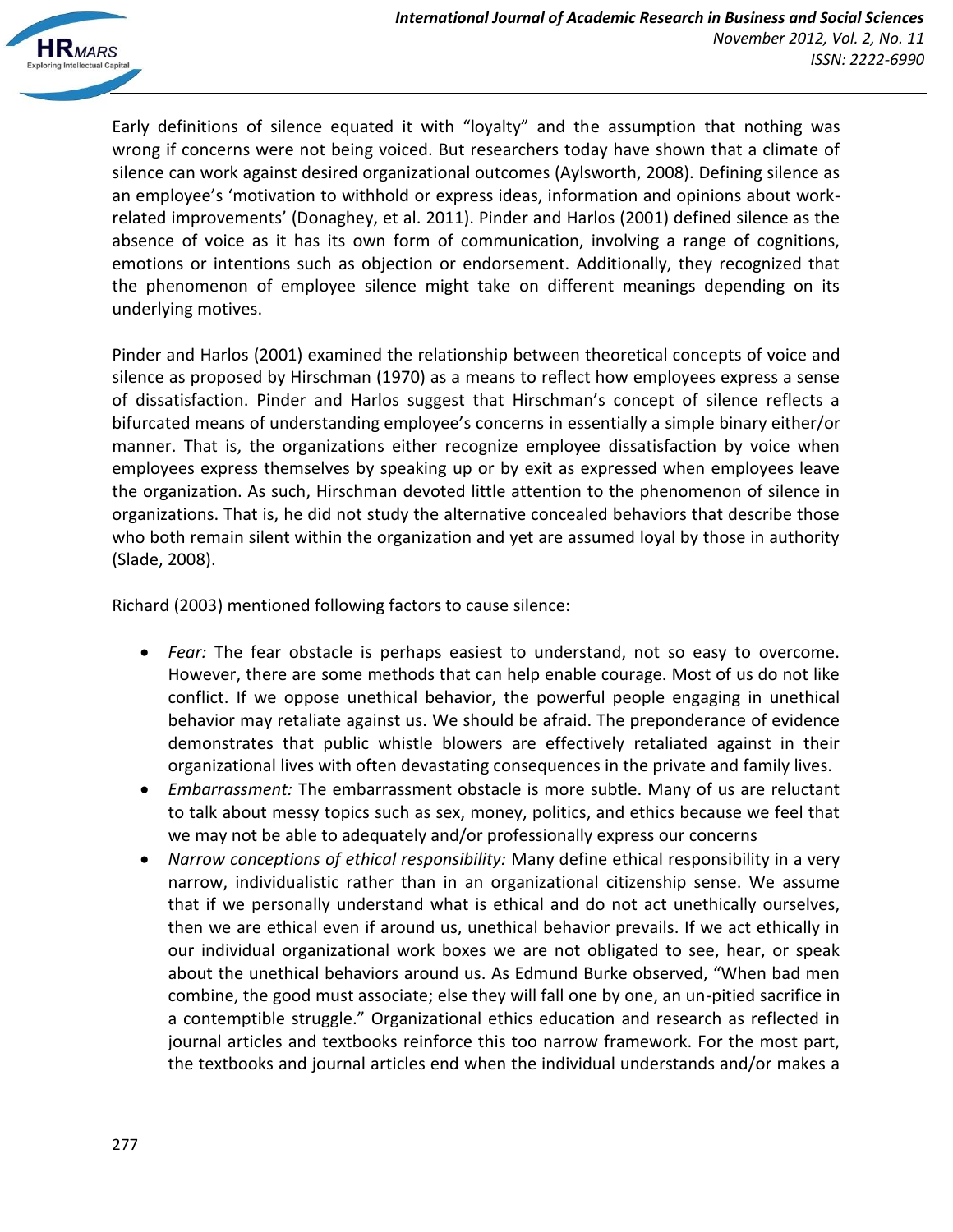

Early definitions of silence equated it with "loyalty" and the assumption that nothing was wrong if concerns were not being voiced. But researchers today have shown that a climate of silence can work against desired organizational outcomes (Aylsworth, 2008). Defining silence as an employee's 'motivation to withhold or express ideas, information and opinions about workrelated improvements' (Donaghey, et al. 2011). Pinder and Harlos (2001) defined silence as the absence of voice as it has its own form of communication, involving a range of cognitions, emotions or intentions such as objection or endorsement. Additionally, they recognized that the phenomenon of employee silence might take on different meanings depending on its underlying motives.

Pinder and Harlos (2001) examined the relationship between theoretical concepts of voice and silence as proposed by Hirschman (1970) as a means to reflect how employees express a sense of dissatisfaction. Pinder and Harlos suggest that Hirschman's concept of silence reflects a bifurcated means of understanding employee's concerns in essentially a simple binary either/or manner. That is, the organizations either recognize employee dissatisfaction by voice when employees express themselves by speaking up or by exit as expressed when employees leave the organization. As such, Hirschman devoted little attention to the phenomenon of silence in organizations. That is, he did not study the alternative concealed behaviors that describe those who both remain silent within the organization and yet are assumed loyal by those in authority (Slade, 2008).

Richard (2003) mentioned following factors to cause silence:

- *Fear:* The fear obstacle is perhaps easiest to understand, not so easy to overcome. However, there are some methods that can help enable courage. Most of us do not like conflict. If we oppose unethical behavior, the powerful people engaging in unethical behavior may retaliate against us. We should be afraid. The preponderance of evidence demonstrates that public whistle blowers are effectively retaliated against in their organizational lives with often devastating consequences in the private and family lives.
- *Embarrassment:* The embarrassment obstacle is more subtle. Many of us are reluctant to talk about messy topics such as sex, money, politics, and ethics because we feel that we may not be able to adequately and/or professionally express our concerns
- *Narrow conceptions of ethical responsibility:* Many define ethical responsibility in a very narrow, individualistic rather than in an organizational citizenship sense. We assume that if we personally understand what is ethical and do not act unethically ourselves, then we are ethical even if around us, unethical behavior prevails. If we act ethically in our individual organizational work boxes we are not obligated to see, hear, or speak about the unethical behaviors around us. As Edmund Burke observed, "When bad men combine, the good must associate; else they will fall one by one, an un-pitied sacrifice in a contemptible struggle." Organizational ethics education and research as reflected in journal articles and textbooks reinforce this too narrow framework. For the most part, the textbooks and journal articles end when the individual understands and/or makes a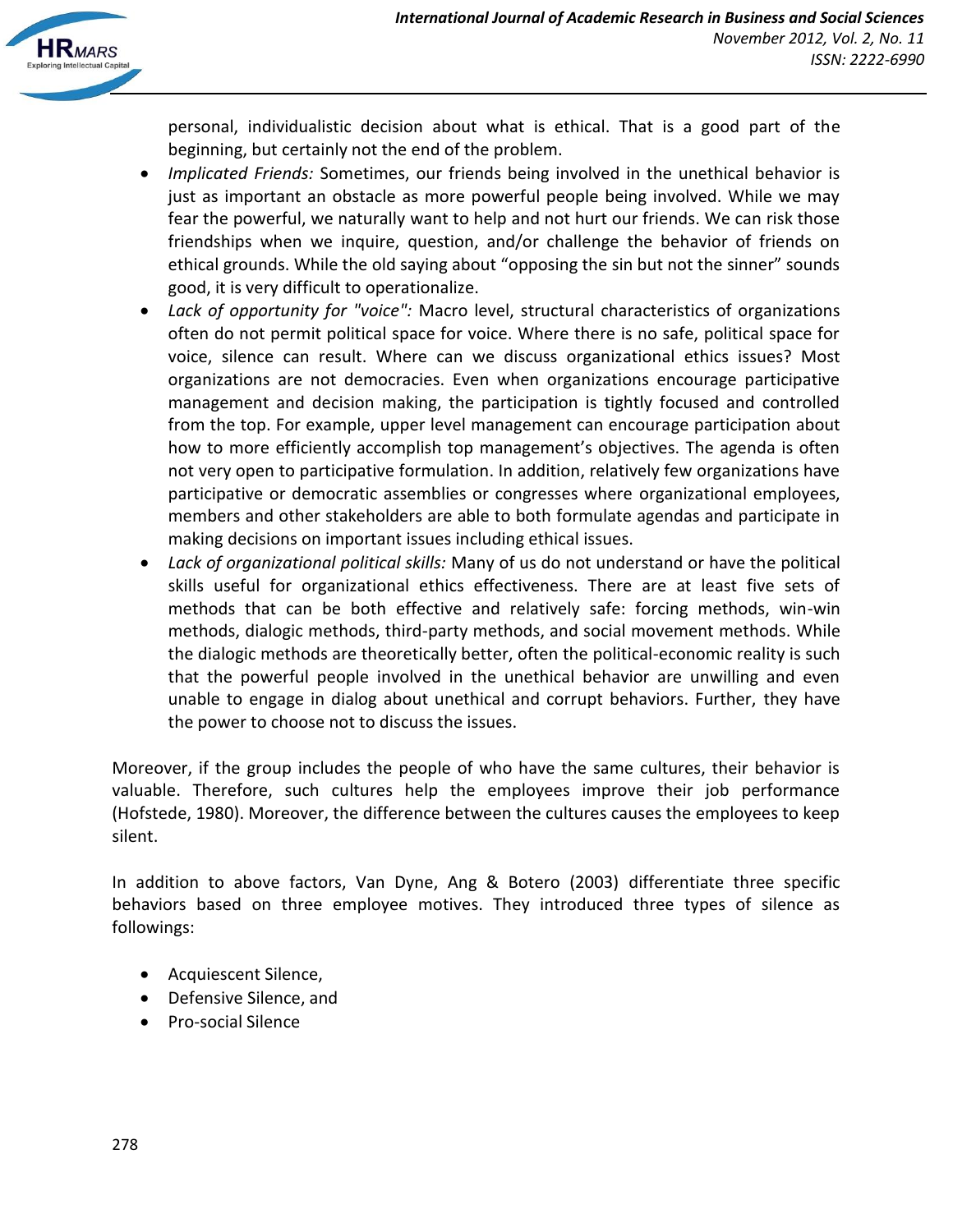

personal, individualistic decision about what is ethical. That is a good part of the beginning, but certainly not the end of the problem.

- *Implicated Friends:* Sometimes, our friends being involved in the unethical behavior is just as important an obstacle as more powerful people being involved. While we may fear the powerful, we naturally want to help and not hurt our friends. We can risk those friendships when we inquire, question, and/or challenge the behavior of friends on ethical grounds. While the old saying about "opposing the sin but not the sinner" sounds good, it is very difficult to operationalize.
- *Lack of opportunity for "voice":* Macro level, structural characteristics of organizations often do not permit political space for voice. Where there is no safe, political space for voice, silence can result. Where can we discuss organizational ethics issues? Most organizations are not democracies. Even when organizations encourage participative management and decision making, the participation is tightly focused and controlled from the top. For example, upper level management can encourage participation about how to more efficiently accomplish top management's objectives. The agenda is often not very open to participative formulation. In addition, relatively few organizations have participative or democratic assemblies or congresses where organizational employees, members and other stakeholders are able to both formulate agendas and participate in making decisions on important issues including ethical issues.
- *Lack of organizational political skills:* Many of us do not understand or have the political skills useful for organizational ethics effectiveness. There are at least five sets of methods that can be both effective and relatively safe: forcing methods, win-win methods, dialogic methods, third-party methods, and social movement methods. While the dialogic methods are theoretically better, often the political-economic reality is such that the powerful people involved in the unethical behavior are unwilling and even unable to engage in dialog about unethical and corrupt behaviors. Further, they have the power to choose not to discuss the issues.

Moreover, if the group includes the people of who have the same cultures, their behavior is valuable. Therefore, such cultures help the employees improve their job performance (Hofstede, 1980). Moreover, the difference between the cultures causes the employees to keep silent.

In addition to above factors, Van Dyne, Ang & Botero (2003) differentiate three specific behaviors based on three employee motives. They introduced three types of silence as followings:

- Acquiescent Silence,
- Defensive Silence, and
- Pro-social Silence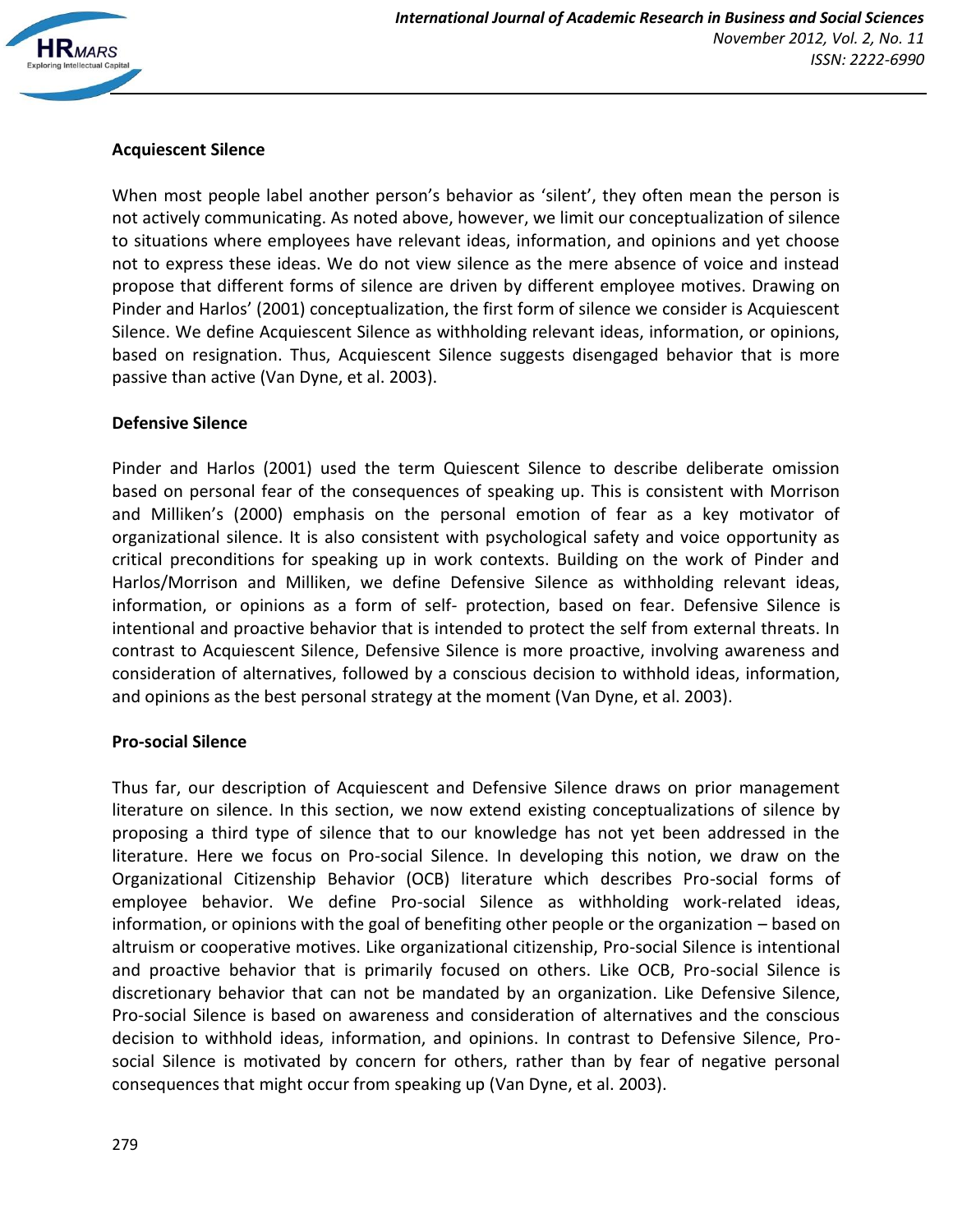

## **Acquiescent Silence**

When most people label another person's behavior as 'silent', they often mean the person is not actively communicating. As noted above, however, we limit our conceptualization of silence to situations where employees have relevant ideas, information, and opinions and yet choose not to express these ideas. We do not view silence as the mere absence of voice and instead propose that different forms of silence are driven by different employee motives. Drawing on Pinder and Harlos' (2001) conceptualization, the first form of silence we consider is Acquiescent Silence. We define Acquiescent Silence as withholding relevant ideas, information, or opinions, based on resignation. Thus, Acquiescent Silence suggests disengaged behavior that is more passive than active (Van Dyne, et al. 2003).

#### **Defensive Silence**

Pinder and Harlos (2001) used the term Quiescent Silence to describe deliberate omission based on personal fear of the consequences of speaking up. This is consistent with Morrison and Milliken's (2000) emphasis on the personal emotion of fear as a key motivator of organizational silence. It is also consistent with psychological safety and voice opportunity as critical preconditions for speaking up in work contexts. Building on the work of Pinder and Harlos/Morrison and Milliken, we define Defensive Silence as withholding relevant ideas, information, or opinions as a form of self- protection, based on fear. Defensive Silence is intentional and proactive behavior that is intended to protect the self from external threats. In contrast to Acquiescent Silence, Defensive Silence is more proactive, involving awareness and consideration of alternatives, followed by a conscious decision to withhold ideas, information, and opinions as the best personal strategy at the moment (Van Dyne, et al. 2003).

#### **Pro-social Silence**

Thus far, our description of Acquiescent and Defensive Silence draws on prior management literature on silence. In this section, we now extend existing conceptualizations of silence by proposing a third type of silence that to our knowledge has not yet been addressed in the literature. Here we focus on Pro-social Silence. In developing this notion, we draw on the Organizational Citizenship Behavior (OCB) literature which describes Pro-social forms of employee behavior. We define Pro-social Silence as withholding work-related ideas, information, or opinions with the goal of benefiting other people or the organization – based on altruism or cooperative motives. Like organizational citizenship, Pro-social Silence is intentional and proactive behavior that is primarily focused on others. Like OCB, Pro-social Silence is discretionary behavior that can not be mandated by an organization. Like Defensive Silence, Pro-social Silence is based on awareness and consideration of alternatives and the conscious decision to withhold ideas, information, and opinions. In contrast to Defensive Silence, Prosocial Silence is motivated by concern for others, rather than by fear of negative personal consequences that might occur from speaking up (Van Dyne, et al. 2003).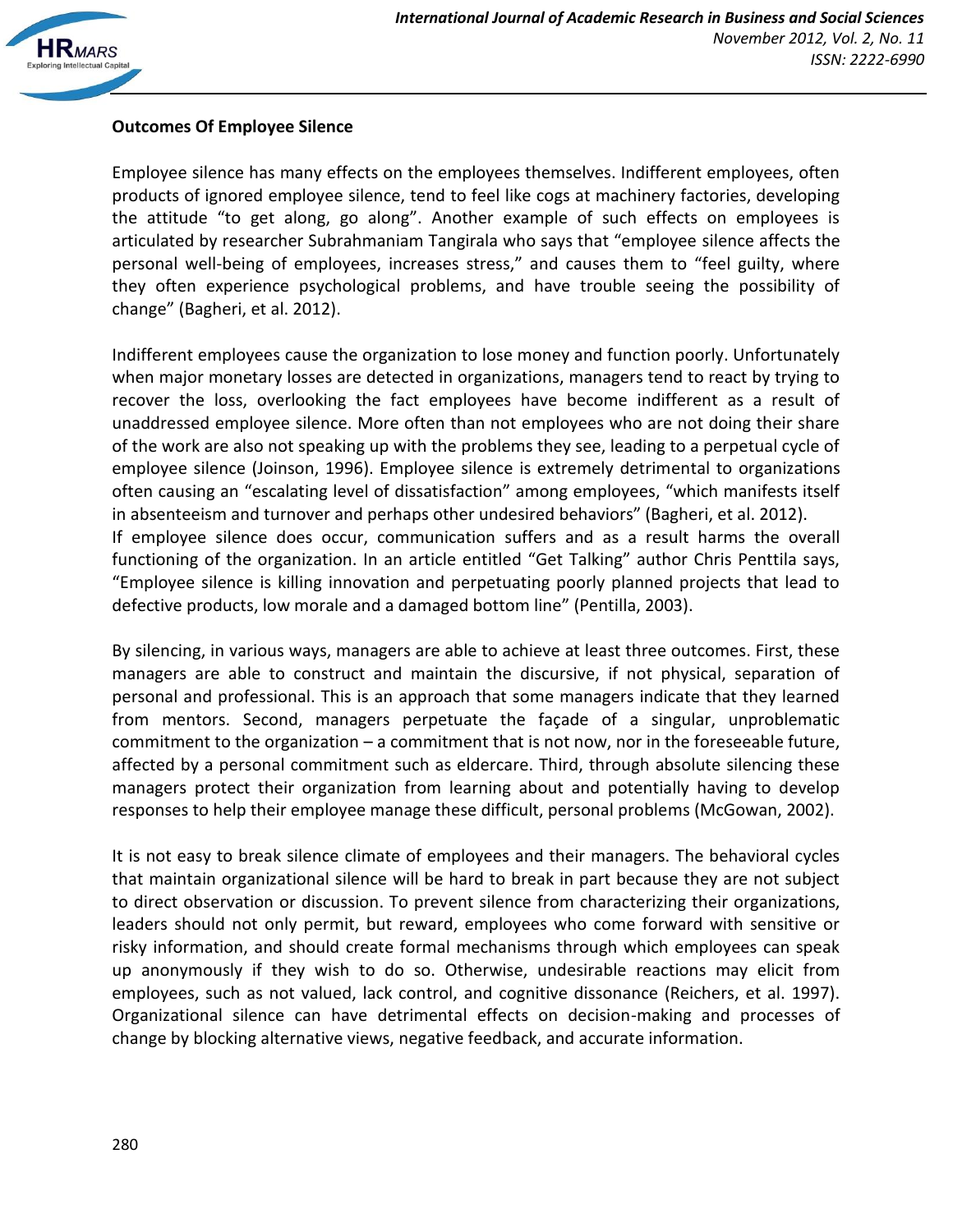# **Outcomes Of Employee Silence**

Employee silence has many effects on the employees themselves. Indifferent employees, often products of ignored employee silence, tend to feel like cogs at machinery factories, developing the attitude "to get along, go along". Another example of such effects on employees is articulated by researcher Subrahmaniam Tangirala who says that "employee silence affects the personal well-being of employees, increases stress," and causes them to "feel guilty, where they often experience psychological problems, and have trouble seeing the possibility of change" (Bagheri, et al. 2012).

Indifferent employees cause the organization to lose money and function poorly. Unfortunately when major monetary losses are detected in organizations, managers tend to react by trying to recover the loss, overlooking the fact employees have become indifferent as a result of unaddressed employee silence. More often than not employees who are not doing their share of the work are also not speaking up with the problems they see, leading to a perpetual cycle of employee silence (Joinson, 1996). Employee silence is extremely detrimental to organizations often causing an "escalating level of dissatisfaction" among employees, "which manifests itself in absenteeism and turnover and perhaps other undesired behaviors" (Bagheri, et al. 2012). If employee silence does occur, communication suffers and as a result harms the overall functioning of the organization. In an article entitled "Get Talking" author Chris Penttila says, "Employee silence is killing innovation and perpetuating poorly planned projects that lead to defective products, low morale and a damaged bottom line" (Pentilla, 2003).

By silencing, in various ways, managers are able to achieve at least three outcomes. First, these managers are able to construct and maintain the discursive, if not physical, separation of personal and professional. This is an approach that some managers indicate that they learned from mentors. Second, managers perpetuate the façade of a singular, unproblematic commitment to the organization – a commitment that is not now, nor in the foreseeable future, affected by a personal commitment such as eldercare. Third, through absolute silencing these managers protect their organization from learning about and potentially having to develop responses to help their employee manage these difficult, personal problems (McGowan, 2002).

It is not easy to break silence climate of employees and their managers. The behavioral cycles that maintain organizational silence will be hard to break in part because they are not subject to direct observation or discussion. To prevent silence from characterizing their organizations, leaders should not only permit, but reward, employees who come forward with sensitive or risky information, and should create formal mechanisms through which employees can speak up anonymously if they wish to do so. Otherwise, undesirable reactions may elicit from employees, such as not valued, lack control, and cognitive dissonance (Reichers, et al. 1997). Organizational silence can have detrimental effects on decision-making and processes of change by blocking alternative views, negative feedback, and accurate information.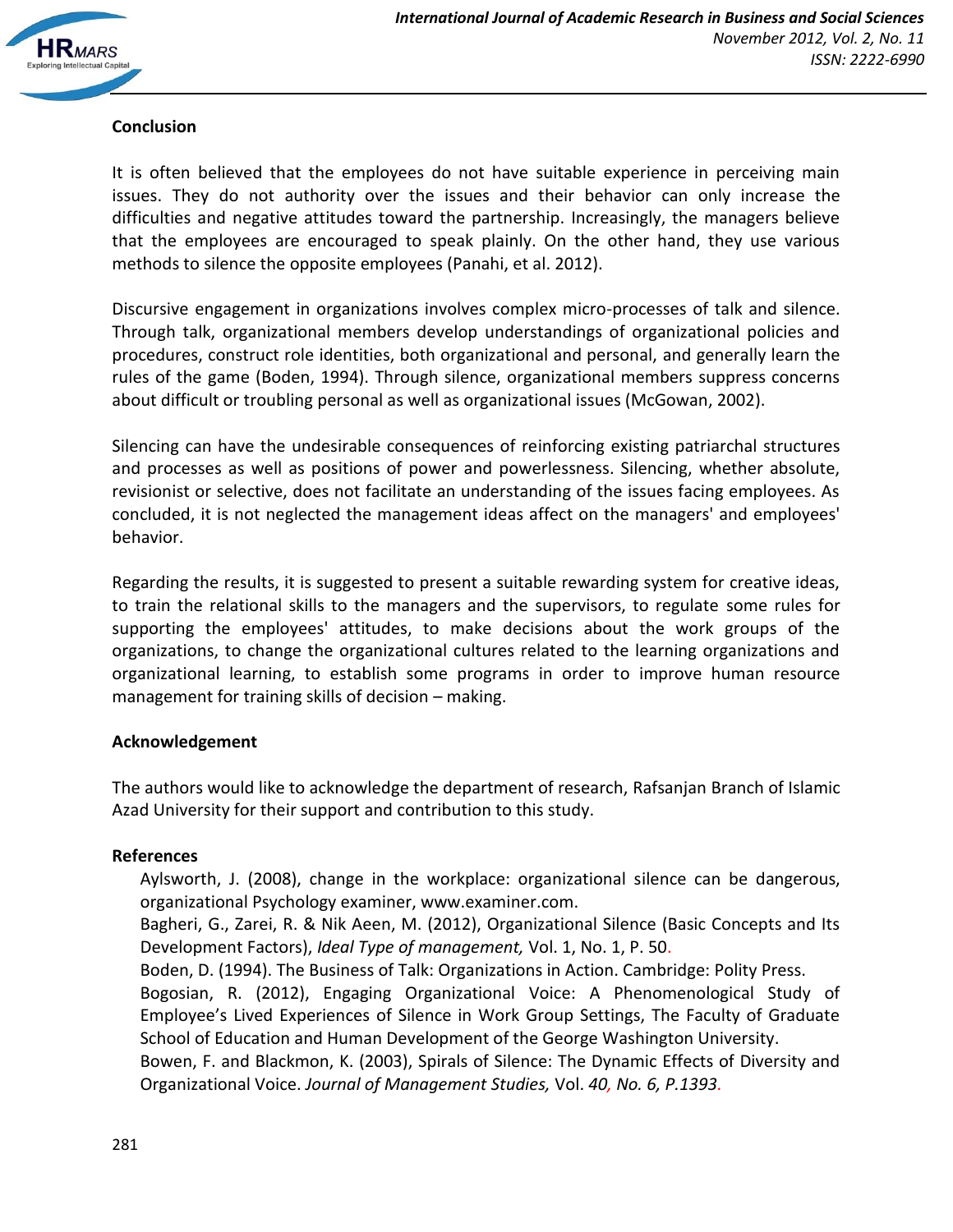

### **Conclusion**

It is often believed that the employees do not have suitable experience in perceiving main issues. They do not authority over the issues and their behavior can only increase the difficulties and negative attitudes toward the partnership. Increasingly, the managers believe that the employees are encouraged to speak plainly. On the other hand, they use various methods to silence the opposite employees (Panahi, et al. 2012).

Discursive engagement in organizations involves complex micro-processes of talk and silence. Through talk, organizational members develop understandings of organizational policies and procedures, construct role identities, both organizational and personal, and generally learn the rules of the game (Boden, 1994). Through silence, organizational members suppress concerns about difficult or troubling personal as well as organizational issues (McGowan, 2002).

Silencing can have the undesirable consequences of reinforcing existing patriarchal structures and processes as well as positions of power and powerlessness. Silencing, whether absolute, revisionist or selective, does not facilitate an understanding of the issues facing employees. As concluded, it is not neglected the management ideas affect on the managers' and employees' behavior.

Regarding the results, it is suggested to present a suitable rewarding system for creative ideas, to train the relational skills to the managers and the supervisors, to regulate some rules for supporting the employees' attitudes, to make decisions about the work groups of the organizations, to change the organizational cultures related to the learning organizations and organizational learning, to establish some programs in order to improve human resource management for training skills of decision – making.

### **Acknowledgement**

The authors would like to acknowledge the department of research, Rafsanjan Branch of Islamic Azad University for their support and contribution to this study.

#### **References**

Aylsworth, J. (2008), change in the workplace: organizational silence can be dangerous, organizational Psychology examiner, www.examiner.com.

Bagheri, G., Zarei, R. & Nik Aeen, M. (2012), Organizational Silence (Basic Concepts and Its Development Factors), *Ideal Type of management,* Vol. 1, No. 1, P. 50.

Boden, D. (1994). The Business of Talk: Organizations in Action. Cambridge: Polity Press.

Bogosian, R. (2012), Engaging Organizational Voice: A Phenomenological Study of Employee's Lived Experiences of Silence in Work Group Settings, The Faculty of Graduate School of Education and Human Development of the George Washington University.

Bowen, F. and Blackmon, K. (2003), Spirals of Silence: The Dynamic Effects of Diversity and Organizational Voice. *Journal of Management Studies,* Vol. *40, No. 6, P.1393.*